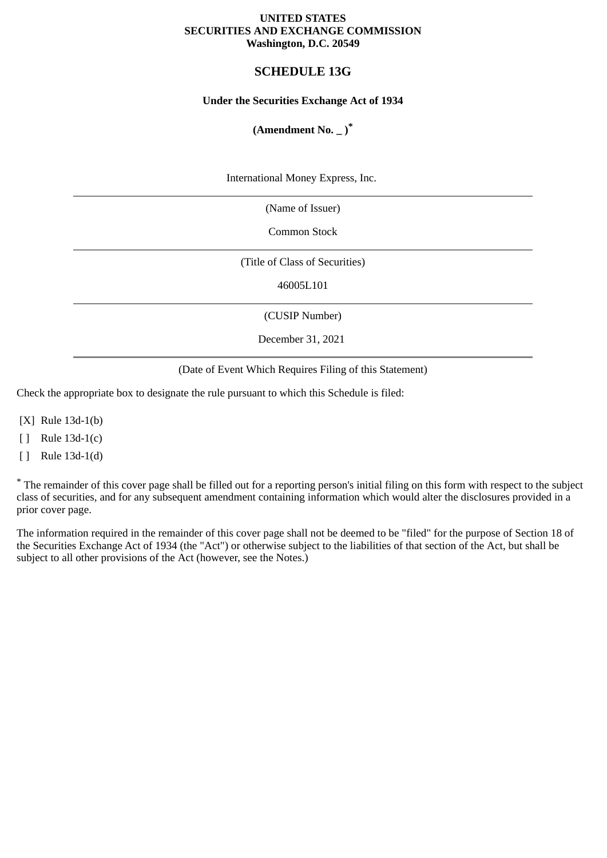### **UNITED STATES SECURITIES AND EXCHANGE COMMISSION Washington, D.C. 20549**

# **SCHEDULE 13G**

## **Under the Securities Exchange Act of 1934**

# **(Amendment No. \_ )\***

International Money Express, Inc.

(Name of Issuer)

Common Stock

(Title of Class of Securities)

46005L101

(CUSIP Number)

December 31, 2021

(Date of Event Which Requires Filing of this Statement)

Check the appropriate box to designate the rule pursuant to which this Schedule is filed:

[X] Rule 13d-1(b)

[ ] Rule 13d-1(c)

[ ] Rule 13d-1(d)

\* The remainder of this cover page shall be filled out for a reporting person's initial filing on this form with respect to the subject class of securities, and for any subsequent amendment containing information which would alter the disclosures provided in a prior cover page.

The information required in the remainder of this cover page shall not be deemed to be "filed" for the purpose of Section 18 of the Securities Exchange Act of 1934 (the "Act") or otherwise subject to the liabilities of that section of the Act, but shall be subject to all other provisions of the Act (however, see the Notes.)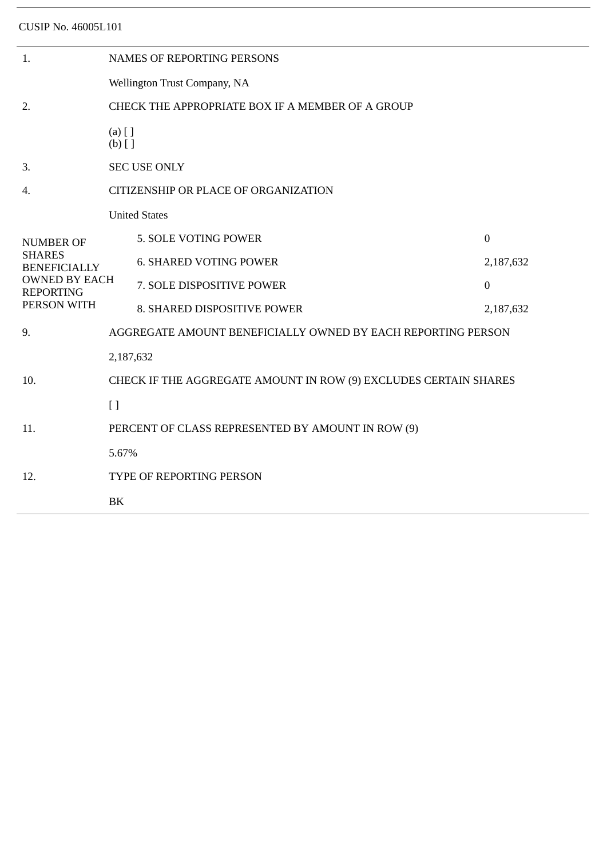CUSIP No. 46005L101

| 1.                                                                                                                  | <b>NAMES OF REPORTING PERSONS</b>                                |                               |                  |  |
|---------------------------------------------------------------------------------------------------------------------|------------------------------------------------------------------|-------------------------------|------------------|--|
|                                                                                                                     | Wellington Trust Company, NA                                     |                               |                  |  |
| 2.                                                                                                                  | CHECK THE APPROPRIATE BOX IF A MEMBER OF A GROUP                 |                               |                  |  |
|                                                                                                                     | $(a)$ [ ]<br>$(b)$ []                                            |                               |                  |  |
| 3.                                                                                                                  | <b>SEC USE ONLY</b>                                              |                               |                  |  |
| 4.                                                                                                                  | CITIZENSHIP OR PLACE OF ORGANIZATION                             |                               |                  |  |
| <b>NUMBER OF</b><br><b>SHARES</b><br><b>BENEFICIALLY</b><br><b>OWNED BY EACH</b><br><b>REPORTING</b><br>PERSON WITH | <b>United States</b>                                             |                               |                  |  |
|                                                                                                                     |                                                                  | 5. SOLE VOTING POWER          | $\mathbf{0}$     |  |
|                                                                                                                     |                                                                  | <b>6. SHARED VOTING POWER</b> | 2,187,632        |  |
|                                                                                                                     |                                                                  | 7. SOLE DISPOSITIVE POWER     | $\boldsymbol{0}$ |  |
|                                                                                                                     |                                                                  | 8. SHARED DISPOSITIVE POWER   | 2,187,632        |  |
| 9.                                                                                                                  | AGGREGATE AMOUNT BENEFICIALLY OWNED BY EACH REPORTING PERSON     |                               |                  |  |
|                                                                                                                     | 2,187,632                                                        |                               |                  |  |
| 10.                                                                                                                 | CHECK IF THE AGGREGATE AMOUNT IN ROW (9) EXCLUDES CERTAIN SHARES |                               |                  |  |
|                                                                                                                     | $[ \ ]$                                                          |                               |                  |  |
| 11.                                                                                                                 | PERCENT OF CLASS REPRESENTED BY AMOUNT IN ROW (9)                |                               |                  |  |
|                                                                                                                     | 5.67%                                                            |                               |                  |  |
| 12.                                                                                                                 | TYPE OF REPORTING PERSON                                         |                               |                  |  |
|                                                                                                                     | BK                                                               |                               |                  |  |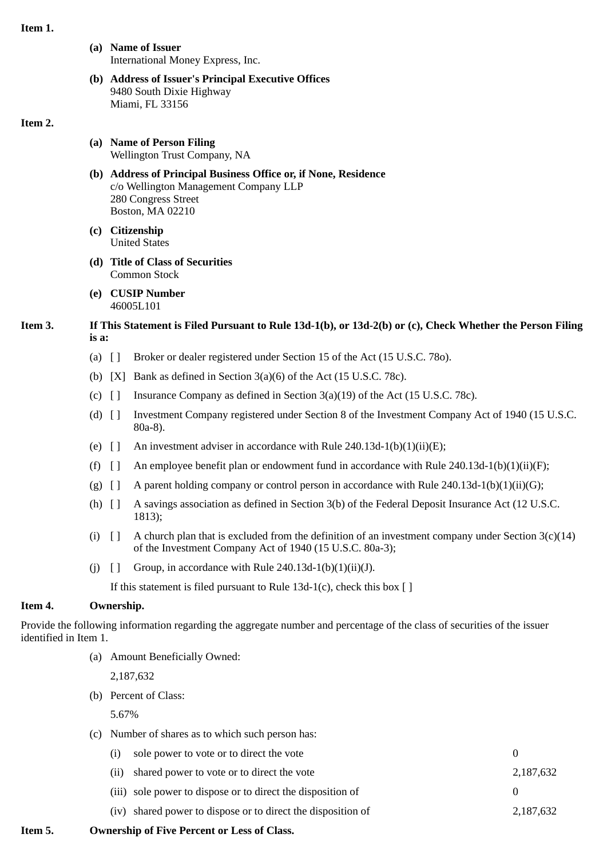### **Item 1.**

- **(a) Name of Issuer** International Money Express, Inc.
- **(b) Address of Issuer's Principal Executive Offices** 9480 South Dixie Highway Miami, FL 33156

### **Item 2.**

- **(a) Name of Person Filing** Wellington Trust Company, NA
- **(b) Address of Principal Business Office or, if None, Residence** c/o Wellington Management Company LLP 280 Congress Street Boston, MA 02210
- **(c) Citizenship** United States
- **(d) Title of Class of Securities** Common Stock
- **(e) CUSIP Number** 46005L101
- **Item 3. If This Statement is Filed Pursuant to Rule 13d-1(b), or 13d-2(b) or (c), Check Whether the Person Filing is a:**
	- (a) [ ] Broker or dealer registered under Section 15 of the Act (15 U.S.C. 78o).
	- (b)  $[X]$  Bank as defined in Section 3(a)(6) of the Act (15 U.S.C. 78c).
	- (c)  $\left[ \ \right]$  Insurance Company as defined in Section 3(a)(19) of the Act (15 U.S.C. 78c).
	- (d) [ ] Investment Company registered under Section 8 of the Investment Company Act of 1940 (15 U.S.C. 80a-8).
	- (e)  $\lceil$  An investment adviser in accordance with Rule 240.13d-1(b)(1)(ii)(E);
	- (f)  $\left[ \ \right]$  An employee benefit plan or endowment fund in accordance with Rule 240.13d-1(b)(1)(ii)(F);
	- (g)  $\lceil \cdot \rceil$  A parent holding company or control person in accordance with Rule 240.13d-1(b)(1)(ii)(G);
	- (h) [ ] A savings association as defined in Section 3(b) of the Federal Deposit Insurance Act (12 U.S.C. 1813);
	- (i)  $\lceil \cdot \rceil$  A church plan that is excluded from the definition of an investment company under Section 3(c)(14) of the Investment Company Act of 1940 (15 U.S.C. 80a-3);
	- (j)  $\left[\right]$  Group, in accordance with Rule 240.13d-1(b)(1)(ii)(J).

If this statement is filed pursuant to Rule 13d-1(c), check this box  $[ ]$ 

# **Item 4. Ownership.**

Provide the following information regarding the aggregate number and percentage of the class of securities of the issuer identified in Item 1.

(a) Amount Beneficially Owned:

2,187,632

(b) Percent of Class:

5.67%

(c) Number of shares as to which such person has:

| (i) sole power to vote or to direct the vote                 |           |
|--------------------------------------------------------------|-----------|
| (ii) shared power to vote or to direct the vote              | 2,187,632 |
| (iii) sole power to dispose or to direct the disposition of  |           |
| (iv) shared power to dispose or to direct the disposition of | 2,187,632 |

**Item 5. Ownership of Five Percent or Less of Class.**